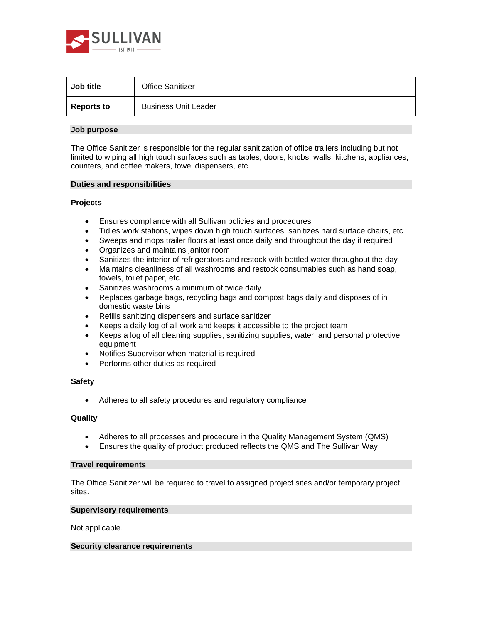

| Job title         | <b>Office Sanitizer</b>     |
|-------------------|-----------------------------|
| <b>Reports to</b> | <b>Business Unit Leader</b> |

## **Job purpose**

The Office Sanitizer is responsible for the regular sanitization of office trailers including but not limited to wiping all high touch surfaces such as tables, doors, knobs, walls, kitchens, appliances, counters, and coffee makers, towel dispensers, etc.

## **Duties and responsibilities**

## **Projects**

- Ensures compliance with all Sullivan policies and procedures
- Tidies work stations, wipes down high touch surfaces, sanitizes hard surface chairs, etc.
- Sweeps and mops trailer floors at least once daily and throughout the day if required
- Organizes and maintains janitor room
- Sanitizes the interior of refrigerators and restock with bottled water throughout the day
- Maintains cleanliness of all washrooms and restock consumables such as hand soap, towels, toilet paper, etc.
- Sanitizes washrooms a minimum of twice daily
- Replaces garbage bags, recycling bags and compost bags daily and disposes of in domestic waste bins
- Refills sanitizing dispensers and surface sanitizer
- Keeps a daily log of all work and keeps it accessible to the project team
- Keeps a log of all cleaning supplies, sanitizing supplies, water, and personal protective equipment
- Notifies Supervisor when material is required
- Performs other duties as required

# **Safety**

• Adheres to all safety procedures and regulatory compliance

#### **Quality**

- Adheres to all processes and procedure in the Quality Management System (QMS)
- Ensures the quality of product produced reflects the QMS and The Sullivan Way

## **Travel requirements**

The Office Sanitizer will be required to travel to assigned project sites and/or temporary project sites.

#### **Supervisory requirements**

Not applicable.

### **Security clearance requirements**